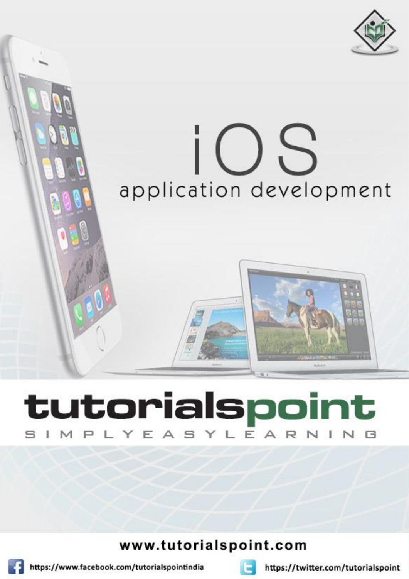

# i O S application development

# tutorialspoint LYEASYLEA R N

www.tutorialspoint.com



https://www.facebook.com/tutorialspointindia



https://twitter.com/tutorialspoint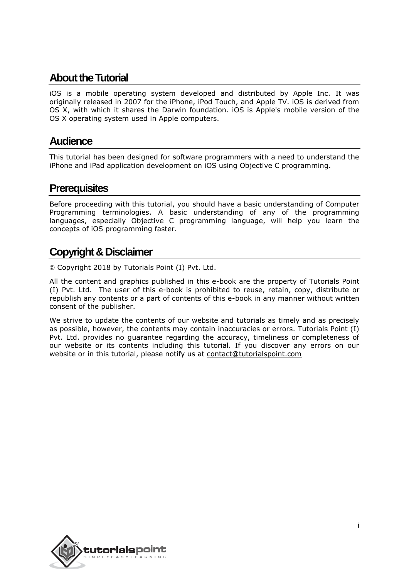# **About theTutorial**

iOS is a mobile operating system developed and distributed by Apple Inc. It was originally released in 2007 for the iPhone, iPod Touch, and Apple TV. iOS is derived from OS X, with which it shares the Darwin foundation. iOS is Apple's mobile version of the OS X operating system used in Apple computers.

## **Audience**

This tutorial has been designed for software programmers with a need to understand the iPhone and iPad application development on iOS using Objective C programming.

# **Prerequisites**

Before proceeding with this tutorial, you should have a basic understanding of Computer Programming terminologies. A basic understanding of any of the programming languages, especially Objective C programming language, will help you learn the concepts of iOS programming faster.

# **Copyright & Disclaimer**

Copyright 2018 by Tutorials Point (I) Pvt. Ltd.

All the content and graphics published in this e-book are the property of Tutorials Point (I) Pvt. Ltd. The user of this e-book is prohibited to reuse, retain, copy, distribute or republish any contents or a part of contents of this e-book in any manner without written consent of the publisher.

We strive to update the contents of our website and tutorials as timely and as precisely as possible, however, the contents may contain inaccuracies or errors. Tutorials Point (I) Pvt. Ltd. provides no guarantee regarding the accuracy, timeliness or completeness of our website or its contents including this tutorial. If you discover any errors on our website or in this tutorial, please notify us at [contact@tutorialspoint.com](mailto:contact@tutorialspoint.com)

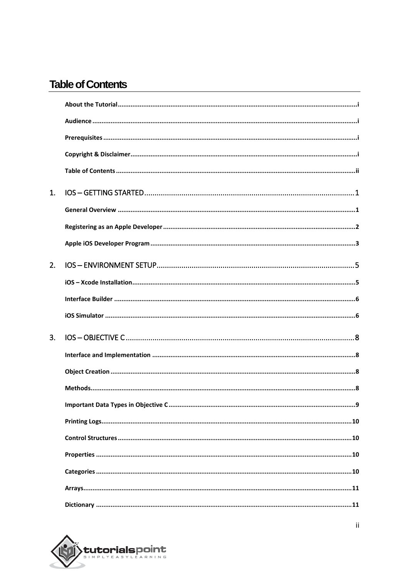# **Table of Contents**

| 1. |     |
|----|-----|
|    |     |
|    |     |
|    |     |
| 2. |     |
|    |     |
|    |     |
|    |     |
| 3. |     |
|    |     |
|    |     |
|    |     |
|    | . 9 |
|    |     |
|    |     |
|    |     |
|    |     |
|    |     |
|    |     |

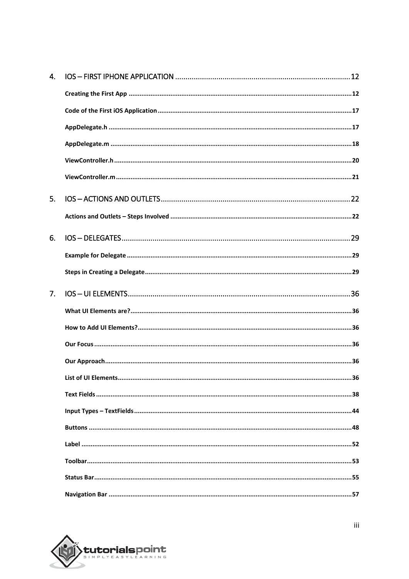| 4. |    |
|----|----|
|    |    |
|    |    |
|    |    |
|    |    |
|    |    |
|    |    |
| 5. |    |
|    |    |
| 6. |    |
|    |    |
|    |    |
| 7. |    |
|    |    |
|    |    |
|    |    |
|    |    |
|    | 36 |
|    |    |
|    |    |
|    |    |
|    |    |
|    |    |
|    |    |
|    |    |

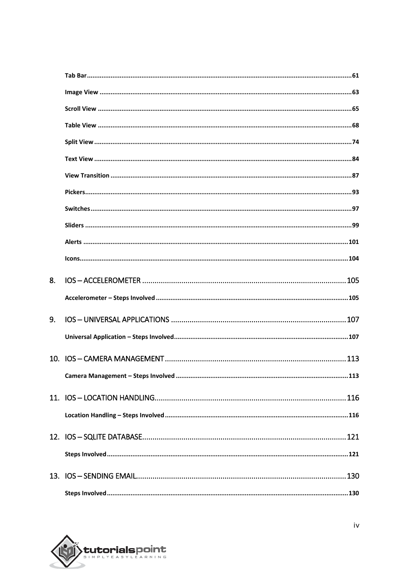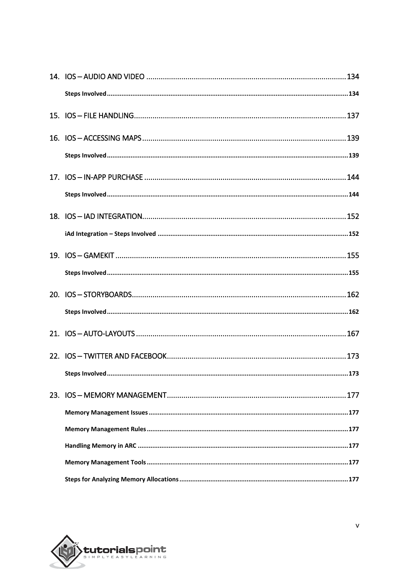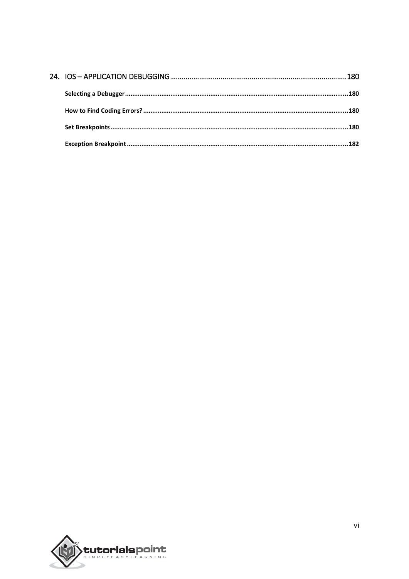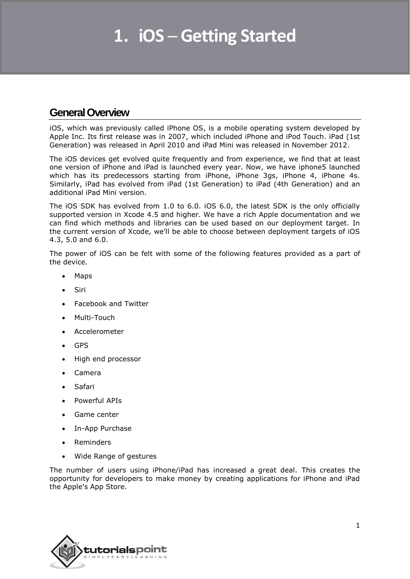# **General Overview**

iOS, which was previously called iPhone OS, is a mobile operating system developed by Apple Inc. Its first release was in 2007, which included iPhone and iPod Touch. iPad (1st Generation) was released in April 2010 and iPad Mini was released in November 2012.

The iOS devices get evolved quite frequently and from experience, we find that at least one version of iPhone and iPad is launched every year. Now, we have iphone5 launched which has its predecessors starting from iPhone, iPhone 3gs, iPhone 4, iPhone 4s. Similarly, iPad has evolved from iPad (1st Generation) to iPad (4th Generation) and an additional iPad Mini version.

The iOS SDK has evolved from 1.0 to 6.0. iOS 6.0, the latest SDK is the only officially supported version in Xcode 4.5 and higher. We have a rich Apple documentation and we can find which methods and libraries can be used based on our deployment target. In the current version of Xcode, we'll be able to choose between deployment targets of iOS 4.3, 5.0 and 6.0.

The power of iOS can be felt with some of the following features provided as a part of the device.

- Maps
- Siri
- Facebook and Twitter
- Multi-Touch
- Accelerometer
- GPS
- High end processor
- Camera
- Safari
- Powerful APIs
- Game center
- In-App Purchase
- Reminders
- Wide Range of gestures

The number of users using iPhone/iPad has increased a great deal. This creates the opportunity for developers to make money by creating applications for iPhone and iPad the Apple's App Store.

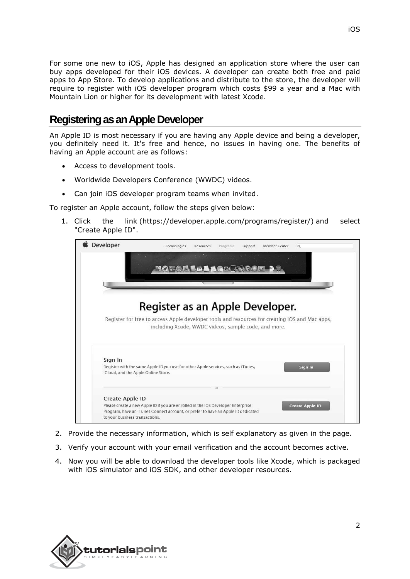For some one new to iOS, Apple has designed an application store where the user can buy apps developed for their iOS devices. A developer can create both free and paid apps to App Store. To develop applications and distribute to the store, the developer will require to register with iOS developer program which costs \$99 a year and a Mac with Mountain Lion or higher for its development with latest Xcode.

# **Registering as an Apple Developer**

An Apple ID is most necessary if you are having any Apple device and being a developer, you definitely need it. It's free and hence, no issues in having one. The benefits of having an Apple account are as follows:

- Access to development tools.
- Worldwide Developers Conference (WWDC) videos.
- Can join iOS developer program teams when invited.

To register an Apple account, follow the steps given below:

1. Click the link (https://developer.apple.com/programs/register/) and select "Create Apple ID".



- 2. Provide the necessary information, which is self explanatory as given in the page.
- 3. Verify your account with your email verification and the account becomes active.
- 4. Now you will be able to download the developer tools like Xcode, which is packaged with iOS simulator and iOS SDK, and other developer resources.

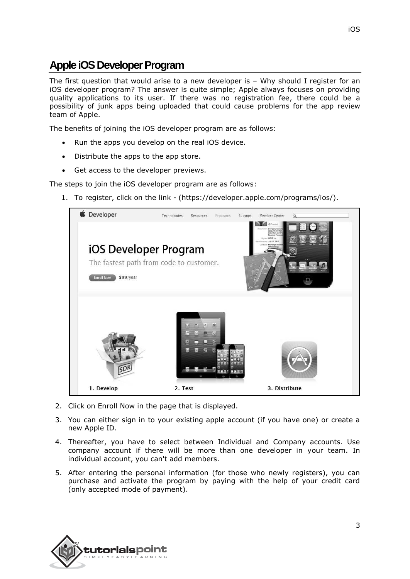# **Apple iOS Developer Program**

The first question that would arise to a new developer is – Why should I register for an iOS developer program? The answer is quite simple; Apple always focuses on providing quality applications to its user. If there was no registration fee, there could be a possibility of junk apps being uploaded that could cause problems for the app review team of Apple.

The benefits of joining the iOS developer program are as follows:

- Run the apps you develop on the real iOS device.
- Distribute the apps to the app store.
- Get access to the developer previews.

The steps to join the iOS developer program are as follows:

1. To register, click on the link - (https://developer.apple.com/programs/ios/).



- 2. Click on Enroll Now in the page that is displayed.
- 3. You can either sign in to your existing apple account (if you have one) or create a new Apple ID.
- 4. Thereafter, you have to select between Individual and Company accounts. Use company account if there will be more than one developer in your team. In individual account, you can't add members.
- 5. After entering the personal information (for those who newly registers), you can purchase and activate the program by paying with the help of your credit card (only accepted mode of payment).

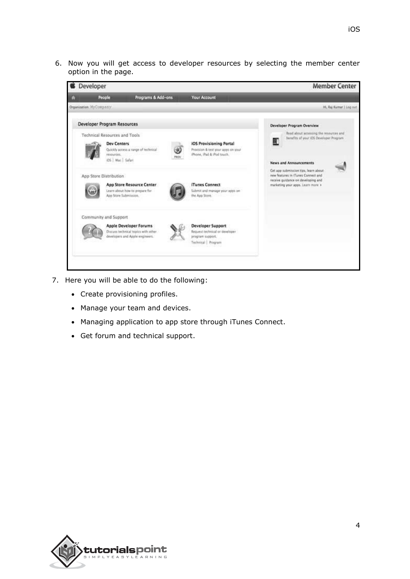6. Now you will get access to developer resources by selecting the member center option in the page.



- 7. Here you will be able to do the following:
	- Create provisioning profiles.
	- Manage your team and devices.
	- Managing application to app store through iTunes Connect.
	- Get forum and technical support.

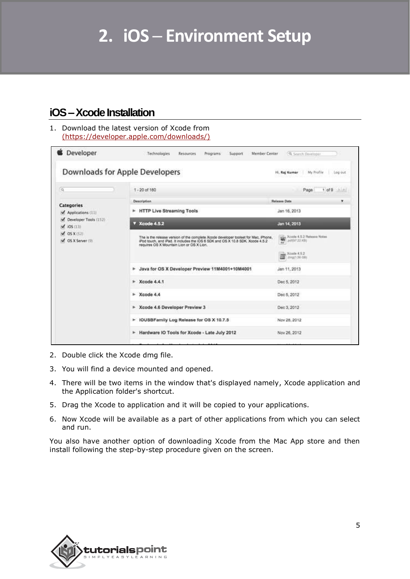# **iOS –Xcode Installation**

1. Download the latest version of Xcode from [\(https://developer.apple.com/downloads/\)](https://developer.apple.com/downloads/)

|                                            | Downloads for Apple Developers                                                                                                                                                                                   | Hi, Raj Kumar My Profile Log out     |
|--------------------------------------------|------------------------------------------------------------------------------------------------------------------------------------------------------------------------------------------------------------------|--------------------------------------|
| $\alpha$                                   | $1 - 20$ of 180                                                                                                                                                                                                  | $1$ of 9 $1$ $11$<br>Page            |
| Categories                                 | Description.                                                                                                                                                                                                     | Release Date<br>۰                    |
| Applications (11)                          | F HTTP Live Streaming Tools                                                                                                                                                                                      | Jan 16, 2013                         |
| Ceveloper Tools (152)<br>$\sqrt{105}$ (11) | Xcode 4.5.2                                                                                                                                                                                                      | Jan 14, 2013                         |
| $\sqrt{05X(52)}$<br>V OS X Server (9)      | The is the release version of the complete Xcode developer toolset for Mac. (Phone,<br>Pod touch, and Pad. It includes the IDS 6 SDK and OS X 10.8 SDK. Xcode 4.5.2<br>requires OS X Mountain Lion or OS X Lion. | Xcode 4.5.2 Raissau Notes            |
|                                            |                                                                                                                                                                                                                  | $L$ , Xcoda $4.5.2$<br>Jimp(1.56-DB) |
|                                            | > Java for OS X Developer Preview 11M4001+10M4001                                                                                                                                                                | Jan 11, 2013                         |
|                                            | $\blacktriangleright$ Xcode 4.4.1                                                                                                                                                                                | Dec 5, 2012                          |
|                                            | $*$ Xcode 4.4                                                                                                                                                                                                    | Dec 5, 2012                          |
|                                            | > Xcode 4.6 Developer Preview 3                                                                                                                                                                                  | Dec 3, 2012                          |
|                                            | > IOUSBFamily Log Release for OS X 10.7.5                                                                                                                                                                        | Nov 28, 2012                         |
|                                            | F Hardware IO Tools for Xcode - Late July 2012                                                                                                                                                                   | Nov 26, 2012                         |
|                                            |                                                                                                                                                                                                                  |                                      |

- 2. Double click the Xcode dmg file.
- 3. You will find a device mounted and opened.
- 4. There will be two items in the window that's displayed namely, Xcode application and the Application folder's shortcut.
- 5. Drag the Xcode to application and it will be copied to your applications.
- 6. Now Xcode will be available as a part of other applications from which you can select and run.

You also have another option of downloading Xcode from the Mac App store and then install following the step-by-step procedure given on the screen.

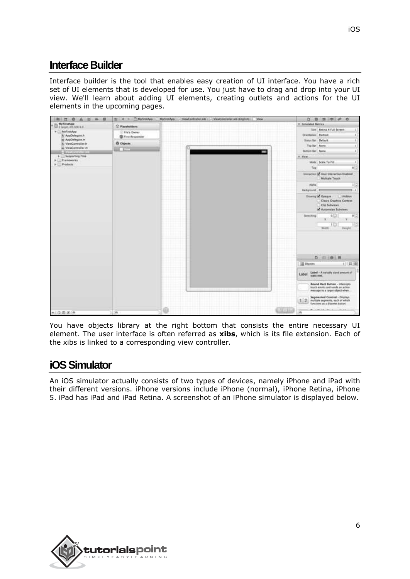# **Interface Builder**

Interface builder is the tool that enables easy creation of UI interface. You have a rich set of UI elements that is developed for use. You just have to drag and drop into your UI view. We'll learn about adding UI elements, creating outlets and actions for the UI elements in the upcoming pages.



You have objects library at the right bottom that consists the entire necessary UI element. The user interface is often referred as **xibs**, which is its file extension. Each of the xibs is linked to a corresponding view controller.

# **iOS Simulator**

An iOS simulator actually consists of two types of devices, namely iPhone and iPad with their different versions. iPhone versions include iPhone (normal), iPhone Retina, iPhone 5. iPad has iPad and iPad Retina. A screenshot of an iPhone simulator is displayed below.

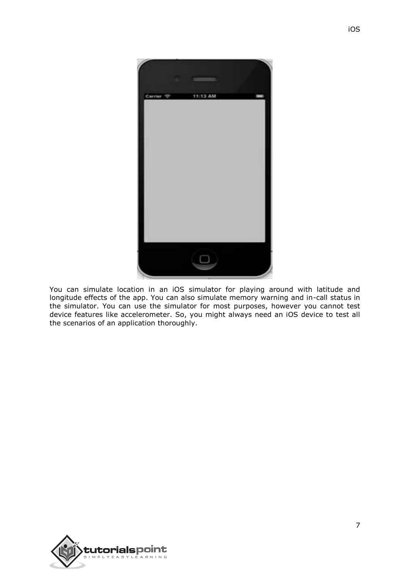

You can simulate location in an iOS simulator for playing around with latitude and longitude effects of the app. You can also simulate memory warning and in-call status in the simulator. You can use the simulator for most purposes, however you cannot test device features like accelerometer. So, you might always need an iOS device to test all the scenarios of an application thoroughly.

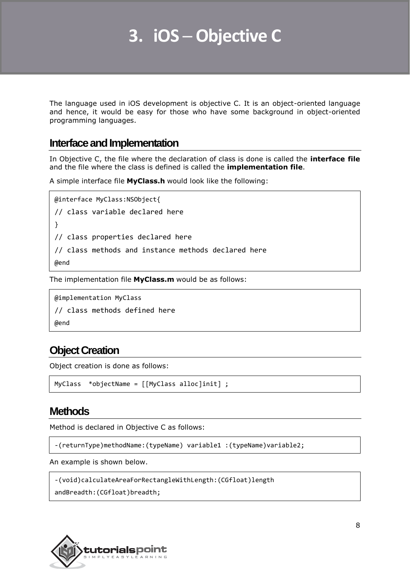# **3. iOS ─ Objective C**

The language used in iOS development is objective C. It is an object-oriented language and hence, it would be easy for those who have some background in object-oriented programming languages.

#### **Interface and Implementation**

In Objective C, the file where the declaration of class is done is called the **interface file** and the file where the class is defined is called the **implementation file**.

A simple interface file **MyClass.h** would look like the following:

```
@interface MyClass:NSObject{
// class variable declared here
}
// class properties declared here
// class methods and instance methods declared here
@end
```
The implementation file **MyClass.m** would be as follows:

@implementation MyClass // class methods defined here @end

# **Object Creation**

Object creation is done as follows:

```
MyClass *objectName = [[MyClass alloc]init] ;
```
## **Methods**

Method is declared in Objective C as follows:

-(returnType)methodName:(typeName) variable1 :(typeName)variable2;

An example is shown below.

```
-(void)calculateAreaForRectangleWithLength:(CGfloat)length
```

```
andBreadth:(CGfloat)breadth;
```
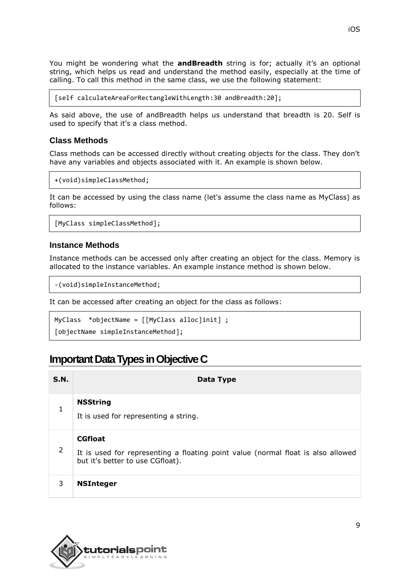You might be wondering what the **andBreadth** string is for; actually it's an optional string, which helps us read and understand the method easily, especially at the time of calling. To call this method in the same class, we use the following statement:

[self calculateAreaForRectangleWithLength:30 andBreadth:20];

As said above, the use of andBreadth helps us understand that breadth is 20. Self is used to specify that it's a class method.

#### **Class Methods**

Class methods can be accessed directly without creating objects for the class. They don't have any variables and objects associated with it. An example is shown below.

```
+(void)simpleClassMethod;
```
It can be accessed by using the class name (let's assume the class name as MyClass) as follows:

[MyClass simpleClassMethod];

#### **Instance Methods**

Instance methods can be accessed only after creating an object for the class. Memory is allocated to the instance variables. An example instance method is shown below.

-(void)simpleInstanceMethod;

It can be accessed after creating an object for the class as follows:

MyClass \*objectName = [[MyClass alloc]init] ;

[objectName simpleInstanceMethod];

# **Important Data Types in Objective C**

| S.N. | Data Type                                                                                                                              |
|------|----------------------------------------------------------------------------------------------------------------------------------------|
| 1    | <b>NSString</b><br>It is used for representing a string.                                                                               |
| 2    | <b>CGfloat</b><br>It is used for representing a floating point value (normal float is also allowed<br>but it's better to use CGfloat). |
| 3    | <b>NSInteger</b>                                                                                                                       |

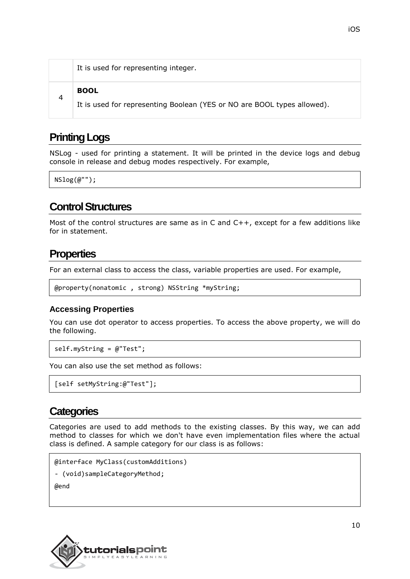|   | It is used for representing integer.                                                   |
|---|----------------------------------------------------------------------------------------|
| 4 | <b>BOOL</b><br>It is used for representing Boolean (YES or NO are BOOL types allowed). |

# **Printing Logs**

NSLog - used for printing a statement. It will be printed in the device logs and debug console in release and debug modes respectively. For example,

 $NSlog(\omega$ "");

## **Control Structures**

Most of the control structures are same as in C and  $C++$ , except for a few additions like for in statement.

# **Properties**

For an external class to access the class, variable properties are used. For example,

```
@property(nonatomic , strong) NSString *myString;
```
#### **Accessing Properties**

You can use dot operator to access properties. To access the above property, we will do the following.

```
self.myString = @"Test";
```
You can also use the set method as follows:

```
[self setMyString:@"Test"];
```
# **Categories**

Categories are used to add methods to the existing classes. By this way, we can add method to classes for which we don't have even implementation files where the actual class is defined. A sample category for our class is as follows:

```
@interface MyClass(customAdditions)
```

```
- (void)sampleCategoryMethod;
```
@end

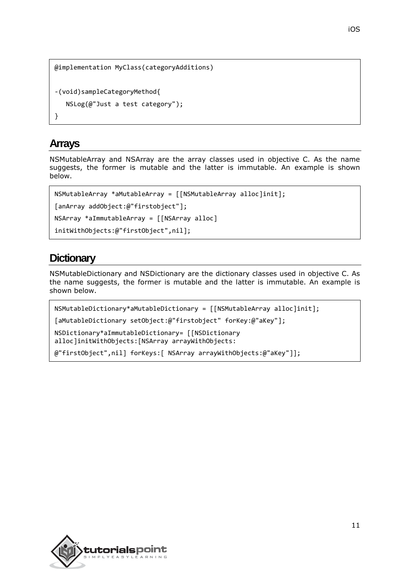```
@implementation MyClass(categoryAdditions)
-(void)sampleCategoryMethod{
    NSLog(@"Just a test category");
}
```
# **Arrays**

NSMutableArray and NSArray are the array classes used in objective C. As the name suggests, the former is mutable and the latter is immutable. An example is shown below.

```
NSMutableArray *aMutableArray = [[NSMutableArray alloc]init];
[anArray addObject:@"firstobject"];
NSArray *aImmutableArray = [[NSArray alloc]
initWithObjects:@"firstObject",nil];
```
# **Dictionary**

NSMutableDictionary and NSDictionary are the dictionary classes used in objective C. As the name suggests, the former is mutable and the latter is immutable. An example is shown below.

```
NSMutableDictionary*aMutableDictionary = [[NSMutableArray alloc]init];
[aMutableDictionary setObject:@"firstobject" forKey:@"aKey"];
NSDictionary*aImmutableDictionary= [[NSDictionary
alloc]initWithObjects:[NSArray arrayWithObjects:
@"firstObject",nil] forKeys:[ NSArray arrayWithObjects:@"aKey"]];
```